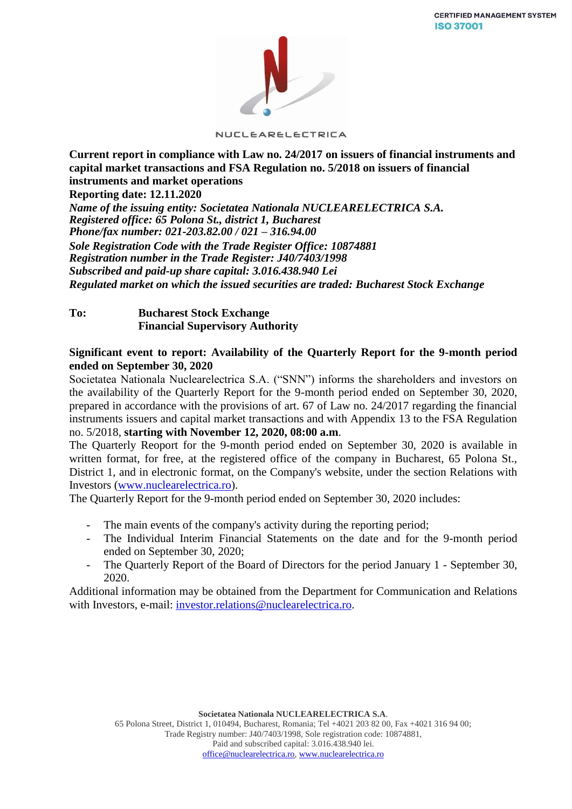

NUCLEARELECTRICA

**Current report in compliance with Law no. 24/2017 on issuers of financial instruments and capital market transactions and FSA Regulation no. 5/2018 on issuers of financial instruments and market operations**

**Reporting date: 12.11.2020**

*Name of the issuing entity: Societatea Nationala NUCLEARELECTRICA S.A. Registered office: 65 Polona St., district 1, Bucharest Phone/fax number: 021-203.82.00 / 021 – 316.94.00 Sole Registration Code with the Trade Register Office: 10874881 Registration number in the Trade Register: J40/7403/1998 Subscribed and paid-up share capital: 3.016.438.940 Lei Regulated market on which the issued securities are traded: Bucharest Stock Exchange*

**To: Bucharest Stock Exchange Financial Supervisory Authority** 

### **Significant event to report: Availability of the Quarterly Report for the 9-month period ended on September 30, 2020**

Societatea Nationala Nuclearelectrica S.A. ("SNN") informs the shareholders and investors on the availability of the Quarterly Report for the 9-month period ended on September 30, 2020, prepared in accordance with the provisions of art. 67 of Law no. 24/2017 regarding the financial instruments issuers and capital market transactions and with Appendix 13 to the FSA Regulation no. 5/2018, **starting with November 12, 2020, 08:00 a.m**.

The Quarterly Reoport for the 9-month period ended on September 30, 2020 is available in written format, for free, at the registered office of the company in Bucharest, 65 Polona St., District 1, and in electronic format, on the Company's website, under the section Relations with Investors [\(www.nuclearelectrica.ro\)](http://www.nuclearelectrica.ro/).

The Quarterly Report for the 9-month period ended on September 30, 2020 includes:

- The main events of the company's activity during the reporting period;
- The Individual Interim Financial Statements on the date and for the 9-month period ended on September 30, 2020;
- The Quarterly Report of the Board of Directors for the period January 1 September 30, 2020.

Additional information may be obtained from the Department for Communication and Relations with Investors, e-mail: [investor.relations@nuclearelectrica.ro.](mailto:investor.relations@nuclearelectrica.ro)

> **Societatea Nationala NUCLEARELECTRICA S.A**. 65 Polona Street, District 1, 010494, Bucharest, Romania; Tel +4021 203 82 00, Fax +4021 316 94 00; Trade Registry number: J40/7403/1998, Sole registration code: 10874881, Paid and subscribed capital: 3.016.438.940 lei. [office@nuclearelectrica.ro,](mailto:office@nuclearelectrica.ro) [www.nuclearelectrica.ro](http://www.nuclearelectrica.ro/)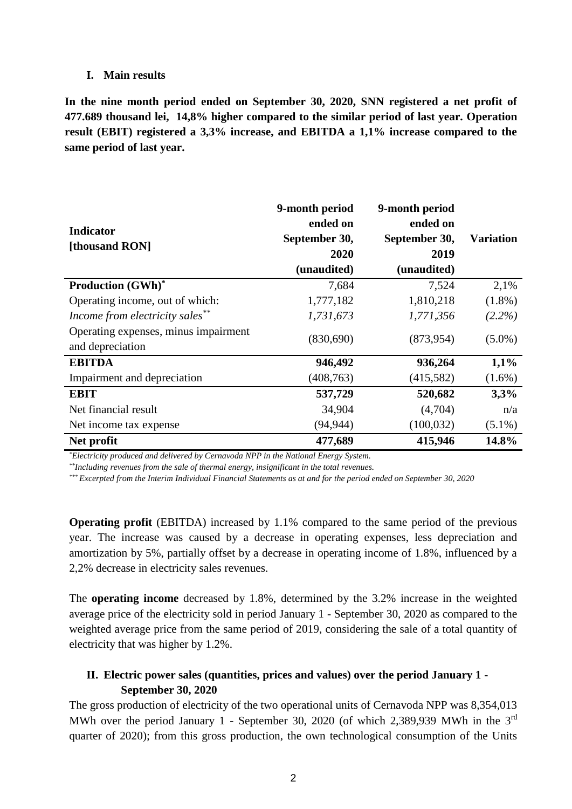#### **I. Main results**

**In the nine month period ended on September 30, 2020, SNN registered a net profit of 477.689 thousand lei, 14,8% higher compared to the similar period of last year. Operation result (EBIT) registered a 3,3% increase, and EBITDA a 1,1% increase compared to the same period of last year.**

| <b>Indicator</b><br>[thousand RON]                       | 9-month period<br>ended on<br>September 30,<br>2020<br>(unaudited) | 9-month period<br>ended on<br>September 30,<br>2019<br>(unaudited) | <b>Variation</b> |
|----------------------------------------------------------|--------------------------------------------------------------------|--------------------------------------------------------------------|------------------|
| <b>Production (GWh)*</b>                                 | 7,684                                                              | 7,524                                                              | 2,1%             |
| Operating income, out of which:                          | 1,777,182                                                          | 1,810,218                                                          | $(1.8\%)$        |
| Income from electricity sales**                          | 1,731,673                                                          | 1,771,356                                                          | $(2.2\%)$        |
| Operating expenses, minus impairment<br>and depreciation | (830,690)                                                          | (873,954)                                                          | $(5.0\%)$        |
| <b>EBITDA</b>                                            | 946,492                                                            | 936,264                                                            | 1,1%             |
| Impairment and depreciation                              | (408, 763)                                                         | (415,582)                                                          | $(1.6\%)$        |
| <b>EBIT</b>                                              | 537,729                                                            | 520,682                                                            | 3,3%             |
| Net financial result                                     | 34,904                                                             | (4,704)                                                            | n/a              |
| Net income tax expense                                   | (94, 944)                                                          | (100, 032)                                                         | $(5.1\%)$        |
| Net profit                                               | 477,689                                                            | 415,946                                                            | 14.8%            |

*\*Electricity produced and delivered by Cernavoda NPP in the National Energy System.*

*\*\*Including revenues from the sale of thermal energy, insignificant in the total revenues.*

*\*\*\* Excerpted from the Interim Individual Financial Statements as at and for the period ended on September 30, 2020* 

**Operating profit** (EBITDA) increased by 1.1% compared to the same period of the previous year. The increase was caused by a decrease in operating expenses, less depreciation and amortization by 5%, partially offset by a decrease in operating income of 1.8%, influenced by a 2,2% decrease in electricity sales revenues.

The **operating income** decreased by 1.8%, determined by the 3.2% increase in the weighted average price of the electricity sold in period January 1 - September 30, 2020 as compared to the weighted average price from the same period of 2019, considering the sale of a total quantity of electricity that was higher by 1.2%.

# **II. Electric power sales (quantities, prices and values) over the period January 1 - September 30, 2020**

The gross production of electricity of the two operational units of Cernavoda NPP was 8,354,013 MWh over the period January 1 - September 30, 2020 (of which 2,389,939 MWh in the 3rd quarter of 2020); from this gross production, the own technological consumption of the Units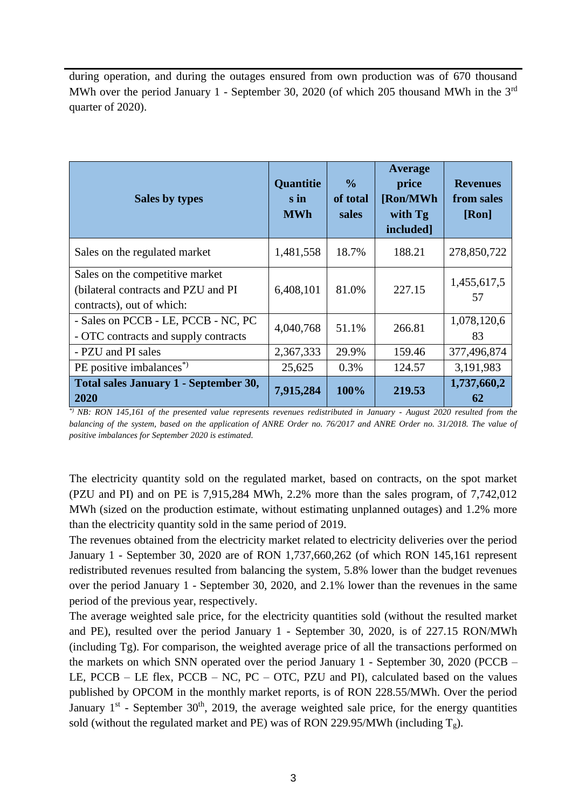during operation, and during the outages ensured from own production was of 670 thousand MWh over the period January 1 - September 30, 2020 (of which 205 thousand MWh in the 3<sup>rd</sup> quarter of 2020).

| Sales by types                                                                                      | Quantitie<br>s in<br><b>MWh</b> | $\frac{0}{0}$<br>of total<br>sales | Average<br>price<br>[Ron/MWh]<br>with Tg<br>included] | <b>Revenues</b><br>from sales<br>[Ron] |
|-----------------------------------------------------------------------------------------------------|---------------------------------|------------------------------------|-------------------------------------------------------|----------------------------------------|
| Sales on the regulated market                                                                       | 1,481,558                       | 18.7%                              | 188.21                                                | 278,850,722                            |
| Sales on the competitive market<br>(bilateral contracts and PZU and PI<br>contracts), out of which: | 6,408,101                       | 81.0%                              | 227.15                                                | 1,455,617,5<br>57                      |
| - Sales on PCCB - LE, PCCB - NC, PC<br>- OTC contracts and supply contracts                         | 4,040,768                       | 51.1%                              | 266.81                                                | 1,078,120,6<br>83                      |
| - PZU and PI sales                                                                                  | 2,367,333                       | 29.9%                              | 159.46                                                | 377,496,874                            |
| PE positive imbalances <sup>*</sup>                                                                 | 25,625                          | 0.3%                               | 124.57                                                | 3,191,983                              |
| <b>Total sales January 1 - September 30,</b><br>2020                                                | 7,915,284                       | 100%                               | 219.53                                                | 1,737,660,2<br>62                      |

*\*) NB: RON 145,161 of the presented value represents revenues redistributed in January - August 2020 resulted from the balancing of the system, based on the application of ANRE Order no. 76/2017 and ANRE Order no. 31/2018. The value of positive imbalances for September 2020 is estimated.*

The electricity quantity sold on the regulated market, based on contracts, on the spot market (PZU and PI) and on PE is 7,915,284 MWh, 2.2% more than the sales program, of 7,742,012 MWh (sized on the production estimate, without estimating unplanned outages) and 1.2% more than the electricity quantity sold in the same period of 2019.

The revenues obtained from the electricity market related to electricity deliveries over the period January 1 - September 30, 2020 are of RON 1,737,660,262 (of which RON 145,161 represent redistributed revenues resulted from balancing the system, 5.8% lower than the budget revenues over the period January 1 - September 30, 2020, and 2.1% lower than the revenues in the same period of the previous year, respectively.

The average weighted sale price, for the electricity quantities sold (without the resulted market and PE), resulted over the period January 1 - September 30, 2020, is of 227.15 RON/MWh (including Tg). For comparison, the weighted average price of all the transactions performed on the markets on which SNN operated over the period January 1 - September 30, 2020 (PCCB – LE, PCCB – LE flex, PCCB – NC, PC – OTC, PZU and PI), calculated based on the values published by OPCOM in the monthly market reports, is of RON 228.55/MWh. Over the period January  $1<sup>st</sup>$  - September 30<sup>th</sup>, 2019, the average weighted sale price, for the energy quantities sold (without the regulated market and PE) was of RON 229.95/MWh (including  $T_g$ ).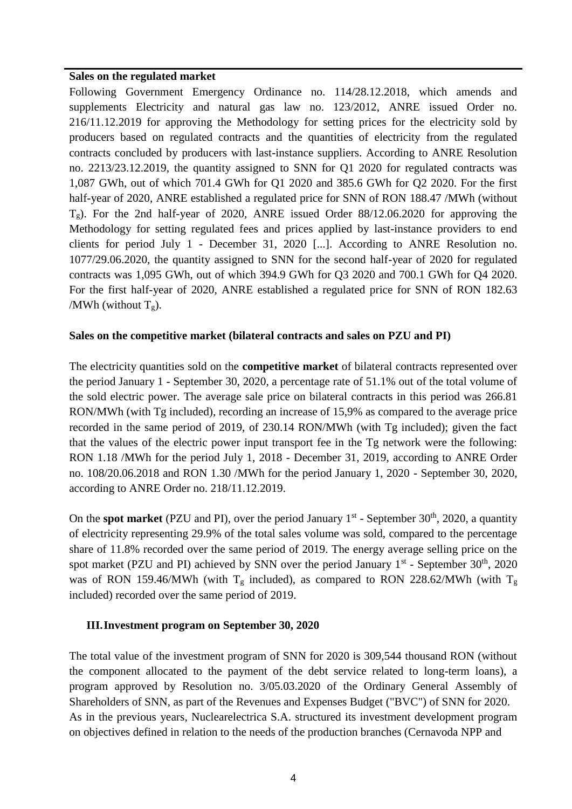#### **Sales on the regulated market**

Following Government Emergency Ordinance no. 114/28.12.2018, which amends and supplements Electricity and natural gas law no. 123/2012, ANRE issued Order no. 216/11.12.2019 for approving the Methodology for setting prices for the electricity sold by producers based on regulated contracts and the quantities of electricity from the regulated contracts concluded by producers with last-instance suppliers. According to ANRE Resolution no. 2213/23.12.2019, the quantity assigned to SNN for Q1 2020 for regulated contracts was 1,087 GWh, out of which 701.4 GWh for Q1 2020 and 385.6 GWh for Q2 2020. For the first half-year of 2020, ANRE established a regulated price for SNN of RON 188.47 /MWh (without Tg). For the 2nd half-year of 2020, ANRE issued Order 88/12.06.2020 for approving the Methodology for setting regulated fees and prices applied by last-instance providers to end clients for period July 1 - December 31, 2020 [...]. According to ANRE Resolution no. 1077/29.06.2020, the quantity assigned to SNN for the second half-year of 2020 for regulated contracts was 1,095 GWh, out of which 394.9 GWh for Q3 2020 and 700.1 GWh for Q4 2020. For the first half-year of 2020, ANRE established a regulated price for SNN of RON 182.63 /MWh (without  $T_g$ ).

### **Sales on the competitive market (bilateral contracts and sales on PZU and PI)**

The electricity quantities sold on the **competitive market** of bilateral contracts represented over the period January 1 - September 30, 2020, a percentage rate of 51.1% out of the total volume of the sold electric power. The average sale price on bilateral contracts in this period was 266.81 RON/MWh (with Tg included), recording an increase of 15,9% as compared to the average price recorded in the same period of 2019, of 230.14 RON/MWh (with Tg included); given the fact that the values of the electric power input transport fee in the Tg network were the following: RON 1.18 /MWh for the period July 1, 2018 - December 31, 2019, according to ANRE Order no. 108/20.06.2018 and RON 1.30 /MWh for the period January 1, 2020 - September 30, 2020, according to ANRE Order no. 218/11.12.2019.

On the **spot market** (PZU and PI), over the period January 1<sup>st</sup> - September 30<sup>th</sup>, 2020, a quantity of electricity representing 29.9% of the total sales volume was sold, compared to the percentage share of 11.8% recorded over the same period of 2019. The energy average selling price on the spot market (PZU and PI) achieved by SNN over the period January  $1<sup>st</sup>$  - September 30<sup>th</sup>, 2020 was of RON 159.46/MWh (with  $T_g$  included), as compared to RON 228.62/MWh (with  $T_g$ included) recorded over the same period of 2019.

## **III.Investment program on September 30, 2020**

The total value of the investment program of SNN for 2020 is 309,544 thousand RON (without the component allocated to the payment of the debt service related to long-term loans), a program approved by Resolution no. 3/05.03.2020 of the Ordinary General Assembly of Shareholders of SNN, as part of the Revenues and Expenses Budget ("BVC") of SNN for 2020. As in the previous years, Nuclearelectrica S.A. structured its investment development program on objectives defined in relation to the needs of the production branches (Cernavoda NPP and